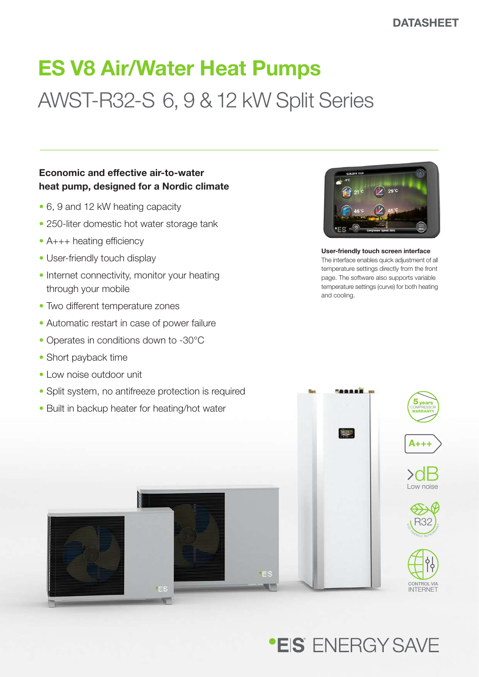# ES V8 Air/Water Heat Pumps AWST-R32-S 6, 9 & 12 kW Split Series

### Economic and effective air-to-water heat pump, designed for a Nordic climate

- 6, 9 and 12 kW heating capacity
- 250-liter domestic hot water storage tank
- A+++ heating efficiency
- User-friendly touch display
- Internet connectivity, monitor your heating through your mobile
- Two different temperature zones
- Automatic restart in case of power failure
- Operates in conditions down to -30°C
- Short payback time
- Low noise outdoor unit
- Split system, no antifreeze protection is required
- Built in backup heater for heating/hot water



User-friendly touch screen interface The interface enables quick adjustment of all temperature settings directly from the front page. The software also supports variable temperature settings (curve) for both heating and cooling.



## **\*EIS** FNFRGY SAVF